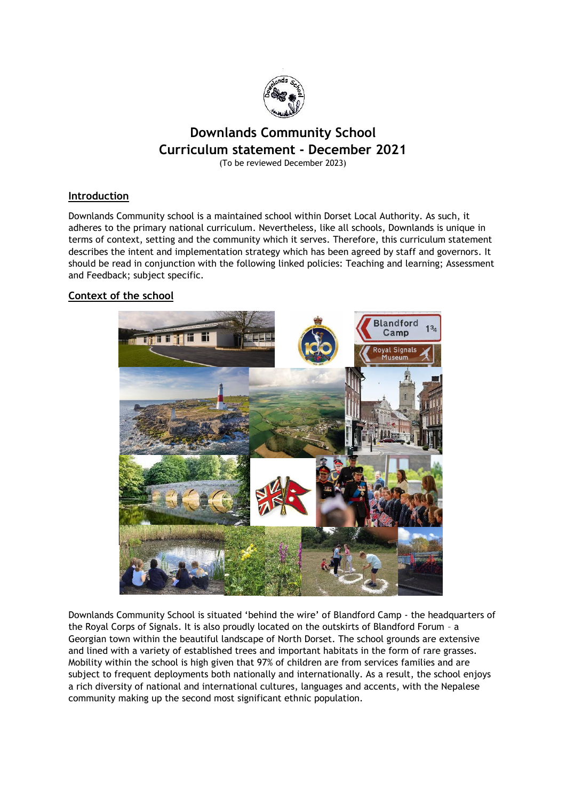

# **Downlands Community School Curriculum statement - December 2021**

(To be reviewed December 2023)

# **Introduction**

Downlands Community school is a maintained school within Dorset Local Authority. As such, it adheres to the primary national curriculum. Nevertheless, like all schools, Downlands is unique in terms of context, setting and the community which it serves. Therefore, this curriculum statement describes the intent and implementation strategy which has been agreed by staff and governors. It should be read in conjunction with the following linked policies: Teaching and learning; Assessment and Feedback; subject specific.

# **Context of the school**



Downlands Community School is situated 'behind the wire' of Blandford Camp - the headquarters of the Royal Corps of Signals. It is also proudly located on the outskirts of Blandford Forum – a Georgian town within the beautiful landscape of North Dorset. The school grounds are extensive and lined with a variety of established trees and important habitats in the form of rare grasses. Mobility within the school is high given that 97% of children are from services families and are subject to frequent deployments both nationally and internationally. As a result, the school enjoys a rich diversity of national and international cultures, languages and accents, with the Nepalese community making up the second most significant ethnic population.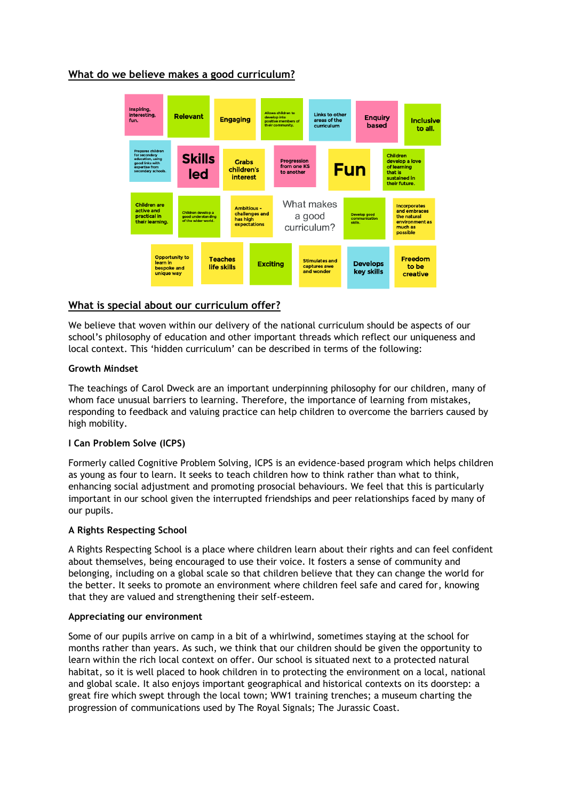# **What do we believe makes a good curriculum?**



# **What is special about our curriculum offer?**

We believe that woven within our delivery of the national curriculum should be aspects of our school's philosophy of education and other important threads which reflect our uniqueness and local context. This 'hidden curriculum' can be described in terms of the following:

# **Growth Mindset**

The teachings of Carol Dweck are an important underpinning philosophy for our children, many of whom face unusual barriers to learning. Therefore, the importance of learning from mistakes, responding to feedback and valuing practice can help children to overcome the barriers caused by high mobility.

# **I Can Problem Solve (ICPS)**

Formerly called Cognitive Problem Solving, ICPS is an evidence-based program which helps children as young as four to learn. It seeks to teach children how to think rather than what to think, enhancing social adjustment and promoting prosocial behaviours. We feel that this is particularly important in our school given the interrupted friendships and peer relationships faced by many of our pupils.

# **A Rights Respecting School**

A Rights Respecting School is a place where children learn about their rights and can feel confident about themselves, being encouraged to use their voice. It fosters a sense of community and belonging, including on a global scale so that children believe that they can change the world for the better. It seeks to promote an environment where children feel safe and cared for, knowing that they are valued and strengthening their self-esteem.

#### **Appreciating our environment**

Some of our pupils arrive on camp in a bit of a whirlwind, sometimes staying at the school for months rather than years. As such, we think that our children should be given the opportunity to learn within the rich local context on offer. Our school is situated next to a protected natural habitat, so it is well placed to hook children in to protecting the environment on a local, national and global scale. It also enjoys important geographical and historical contexts on its doorstep: a great fire which swept through the local town; WW1 training trenches; a museum charting the progression of communications used by The Royal Signals; The Jurassic Coast.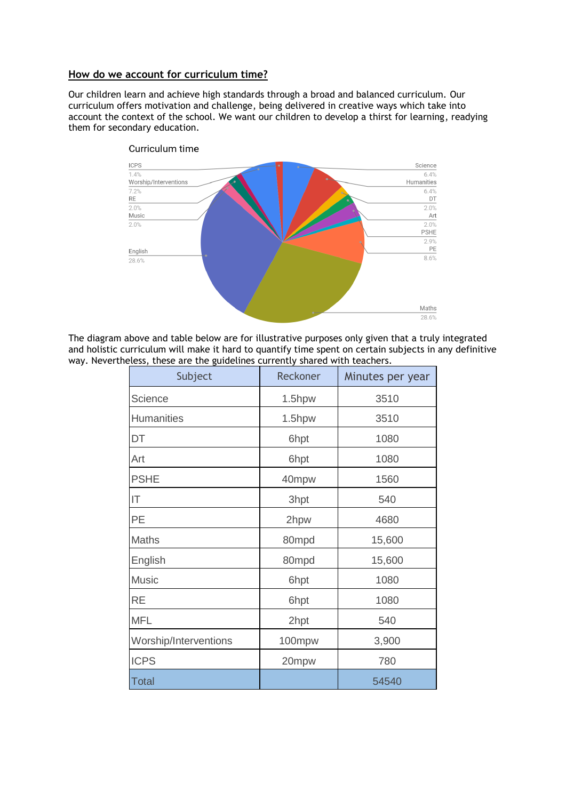# **How do we account for curriculum time?**

Our children learn and achieve high standards through a broad and balanced curriculum. Our curriculum offers motivation and challenge, being delivered in creative ways which take into account the context of the school. We want our children to develop a thirst for learning, readying them for secondary education.



## Curriculum time

The diagram above and table below are for illustrative purposes only given that a truly integrated and holistic curriculum will make it hard to quantify time spent on certain subjects in any definitive way. Nevertheless, these are the guidelines currently shared with teachers.

| Subject               | Reckoner | Minutes per year |
|-----------------------|----------|------------------|
| Science               | 1.5hpw   | 3510             |
| <b>Humanities</b>     | 1.5hpw   | 3510             |
| DT                    | 6hpt     | 1080             |
| Art                   | 6hpt     | 1080             |
| <b>PSHE</b>           | 40mpw    | 1560             |
| IT                    | 3hpt     | 540              |
| PE                    | 2hpw     | 4680             |
| Maths                 | 80mpd    | 15,600           |
| English               | 80mpd    | 15,600           |
| <b>Music</b>          | 6hpt     | 1080             |
| <b>RE</b>             | 6hpt     | 1080             |
| <b>MFL</b>            | 2hpt     | 540              |
| Worship/Interventions | 100mpw   | 3,900            |
| <b>ICPS</b>           | 20mpw    | 780              |
| <b>Total</b>          |          | 54540            |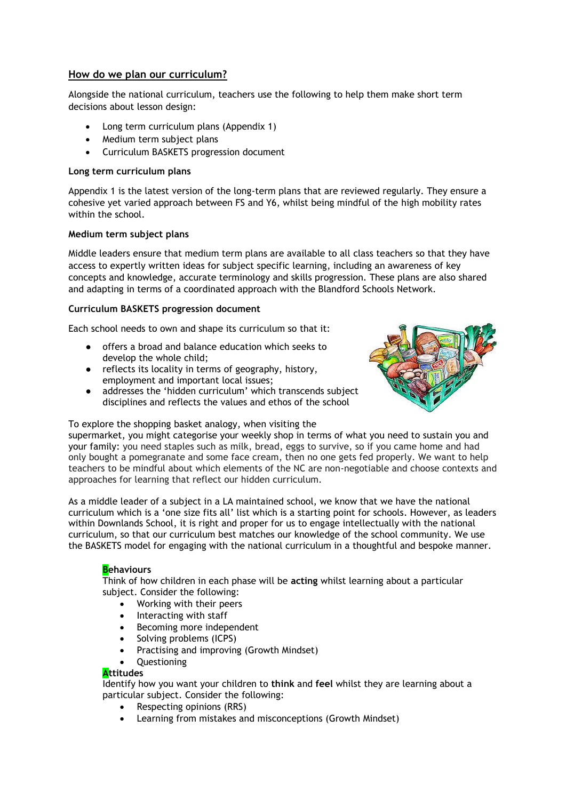# **How do we plan our curriculum?**

Alongside the national curriculum, teachers use the following to help them make short term decisions about lesson design:

- Long term curriculum plans (Appendix 1)
- Medium term subject plans
- Curriculum BASKETS progression document

## **Long term curriculum plans**

Appendix 1 is the latest version of the long-term plans that are reviewed regularly. They ensure a cohesive yet varied approach between FS and Y6, whilst being mindful of the high mobility rates within the school.

#### **Medium term subject plans**

Middle leaders ensure that medium term plans are available to all class teachers so that they have access to expertly written ideas for subject specific learning, including an awareness of key concepts and knowledge, accurate terminology and skills progression. These plans are also shared and adapting in terms of a coordinated approach with the Blandford Schools Network.

#### **Curriculum BASKETS progression document**

Each school needs to own and shape its curriculum so that it:

- offers a broad and balance education which seeks to develop the whole child;
- reflects its locality in terms of geography, history, employment and important local issues;
- addresses the 'hidden curriculum' which transcends subject disciplines and reflects the values and ethos of the school



To explore the shopping basket analogy, when visiting the

supermarket, you might categorise your weekly shop in terms of what you need to sustain you and your family: you need staples such as milk, bread, eggs to survive, so if you came home and had only bought a pomegranate and some face cream, then no one gets fed properly. We want to help teachers to be mindful about which elements of the NC are non-negotiable and choose contexts and approaches for learning that reflect our hidden curriculum.

As a middle leader of a subject in a LA maintained school, we know that we have the national curriculum which is a 'one size fits all' list which is a starting point for schools. However, as leaders within Downlands School, it is right and proper for us to engage intellectually with the national curriculum, so that our curriculum best matches our knowledge of the school community. We use the BASKETS model for engaging with the national curriculum in a thoughtful and bespoke manner.

# **Behaviours**

Think of how children in each phase will be **acting** whilst learning about a particular subject. Consider the following:

- Working with their peers
- Interacting with staff
- Becoming more independent
- Solving problems (ICPS)
- Practising and improving (Growth Mindset)
- Questioning

#### **Attitudes**

Identify how you want your children to **think** and **feel** whilst they are learning about a particular subject. Consider the following:

- Respecting opinions (RRS)
- Learning from mistakes and misconceptions (Growth Mindset)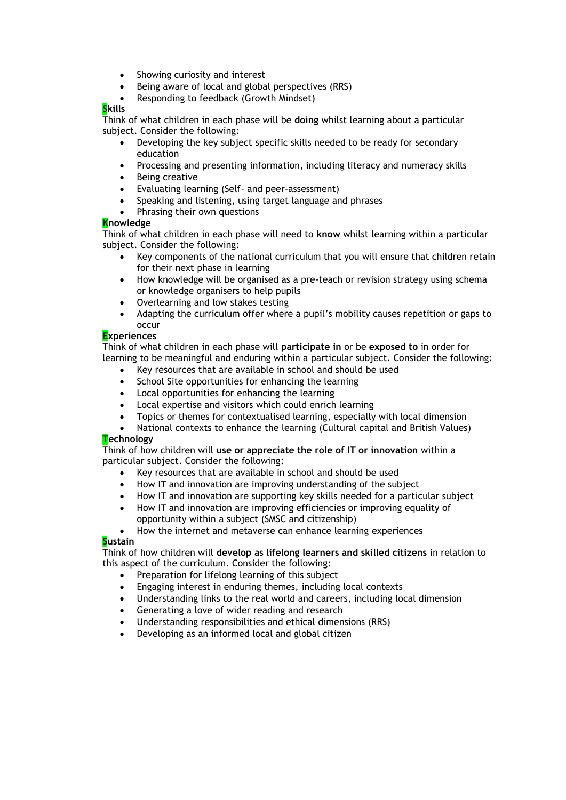- Showing curiosity and interest
- Being aware of local and global perspectives (RRS)
- Responding to feedback (Growth Mindset)

# **Skills**

Think of what children in each phase will be **doing** whilst learning about a particular subject. Consider the following:

- Developing the key subject specific skills needed to be ready for secondary education
- Processing and presenting information, including literacy and numeracy skills
- Being creative
- Evaluating learning (Self- and peer-assessment)
- Speaking and listening, using target language and phrases
- Phrasing their own questions

# **Knowledge**

Think of what children in each phase will need to **know** whilst learning within a particular subject. Consider the following:

- Key components of the national curriculum that you will ensure that children retain for their next phase in learning
- How knowledge will be organised as a pre-teach or revision strategy using schema or knowledge organisers to help pupils
- Overlearning and low stakes testing
- Adapting the curriculum offer where a pupil's mobility causes repetition or gaps to occur

# **Experiences**

Think of what children in each phase will **participate in** or be **exposed to** in order for learning to be meaningful and enduring within a particular subject. Consider the following:

- Key resources that are available in school and should be used
- School Site opportunities for enhancing the learning
- Local opportunities for enhancing the learning
- Local expertise and visitors which could enrich learning
- Topics or themes for contextualised learning, especially with local dimension
- National contexts to enhance the learning (Cultural capital and British Values)

# **Technology**

Think of how children will **use or appreciate the role of IT or innovation** within a particular subject. Consider the following:

- Key resources that are available in school and should be used
- How IT and innovation are improving understanding of the subject
- How IT and innovation are supporting key skills needed for a particular subject
- How IT and innovation are improving efficiencies or improving equality of opportunity within a subject (SMSC and citizenship)

• How the internet and metaverse can enhance learning experiences

# **Sustain**

Think of how children will **develop as lifelong learners and skilled citizens** in relation to this aspect of the curriculum. Consider the following:

- Preparation for lifelong learning of this subject
- Engaging interest in enduring themes, including local contexts
- Understanding links to the real world and careers, including local dimension
- Generating a love of wider reading and research
- Understanding responsibilities and ethical dimensions (RRS)
- Developing as an informed local and global citizen